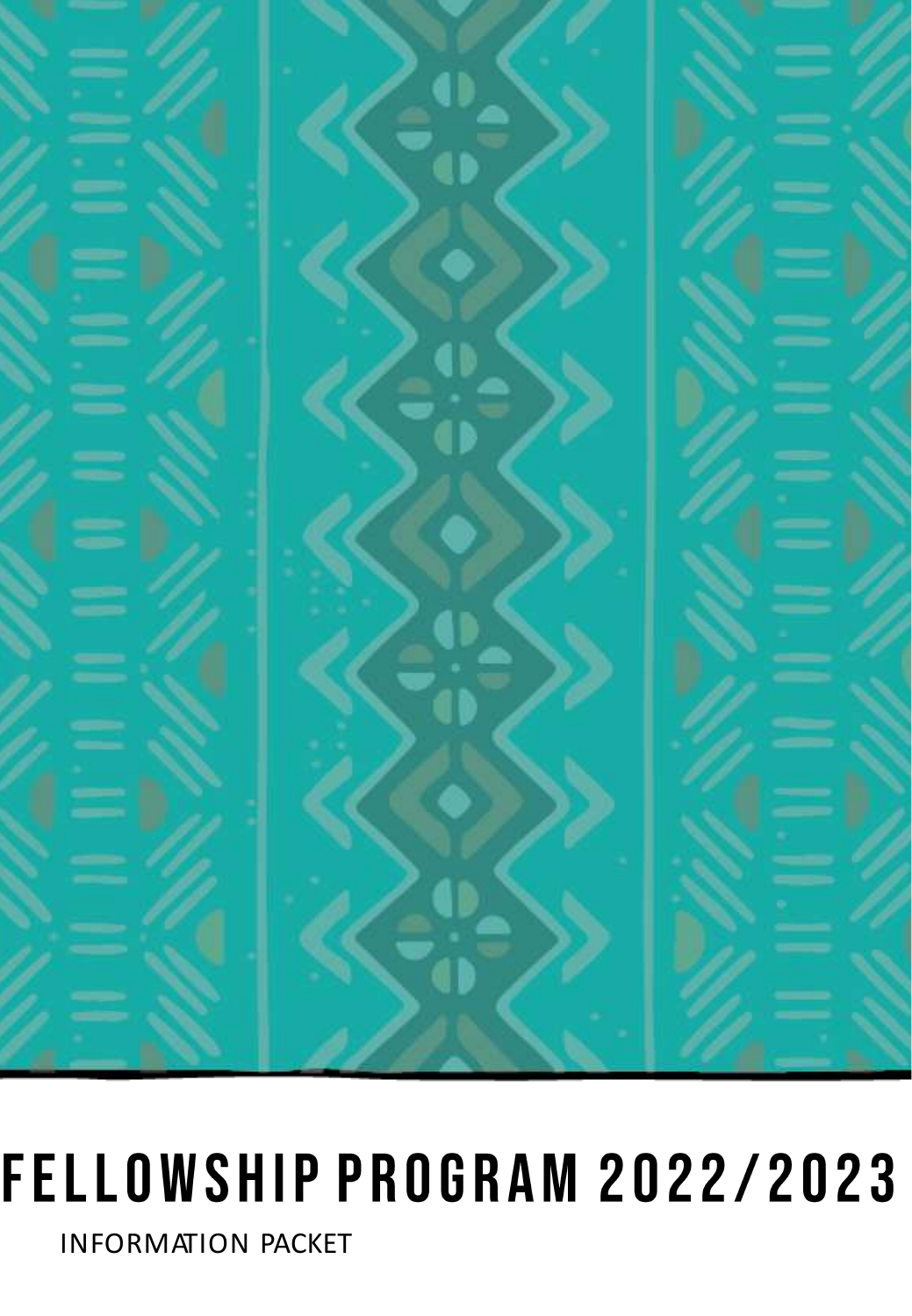

# FELLOWSHIP PROGRAM 2022/2023

INFORMATION PACKET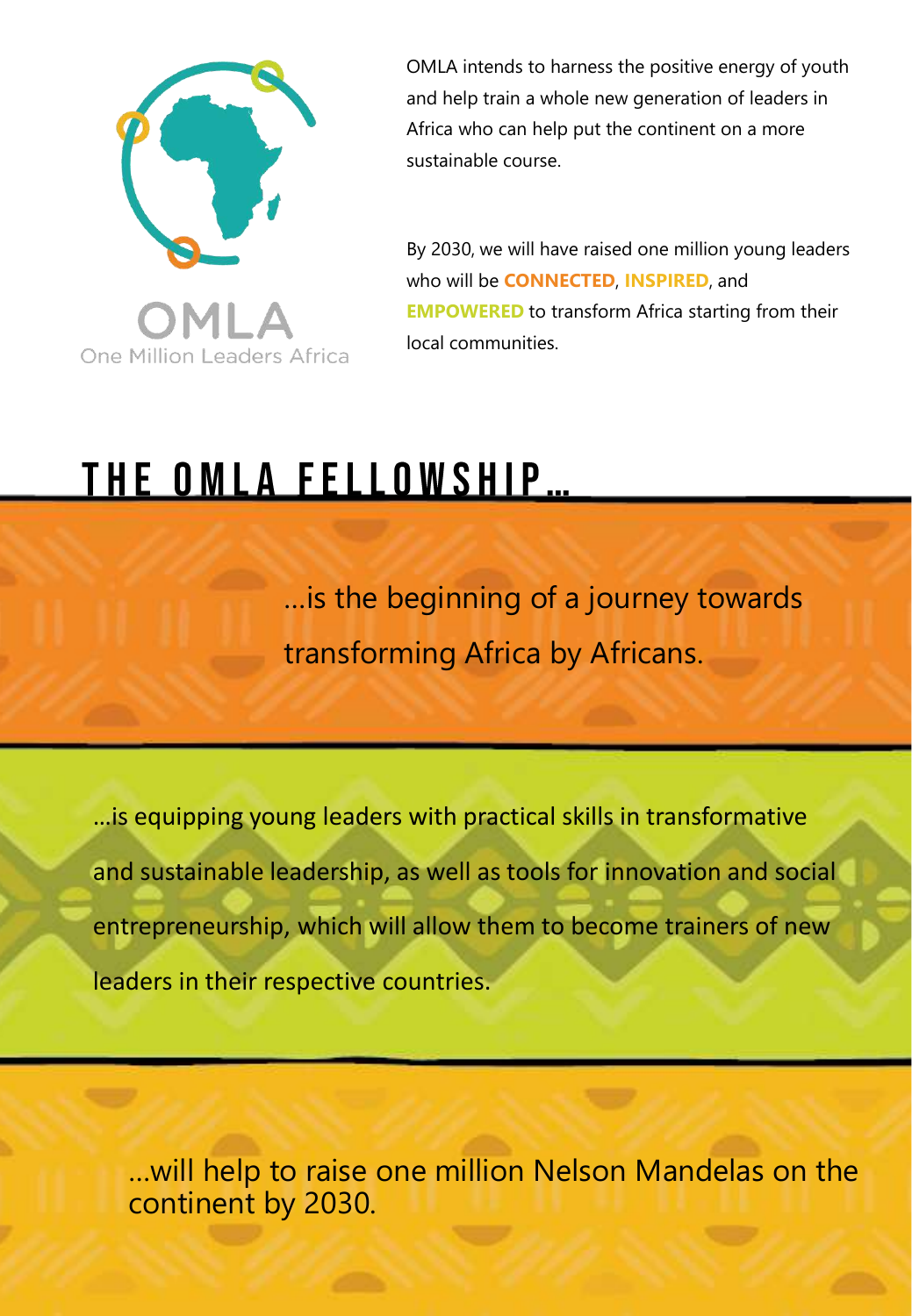

OMLA intends to harness the positive energy of youth and help train a whole new generation of leaders in Africa who can help put the continent on a more sustainable course.

By 2030, we will have raised one million young leaders who will be **CONNECTED**, **INSPIRED**, and **EMPOWERED** to transform Africa starting from their local communities.

## <u>THE OMLA FELLOWSHIP...</u>

…is the beginning of a journey towards transforming Africa by Africans.

…is equipping young leaders with practical skills in transformative and sustainable leadership, as well as tools for innovation and social entrepreneurship, which will allow them to become trainers of new leaders in their respective countries.

…will help to raise one million Nelson Mandelas on the continent by 2030.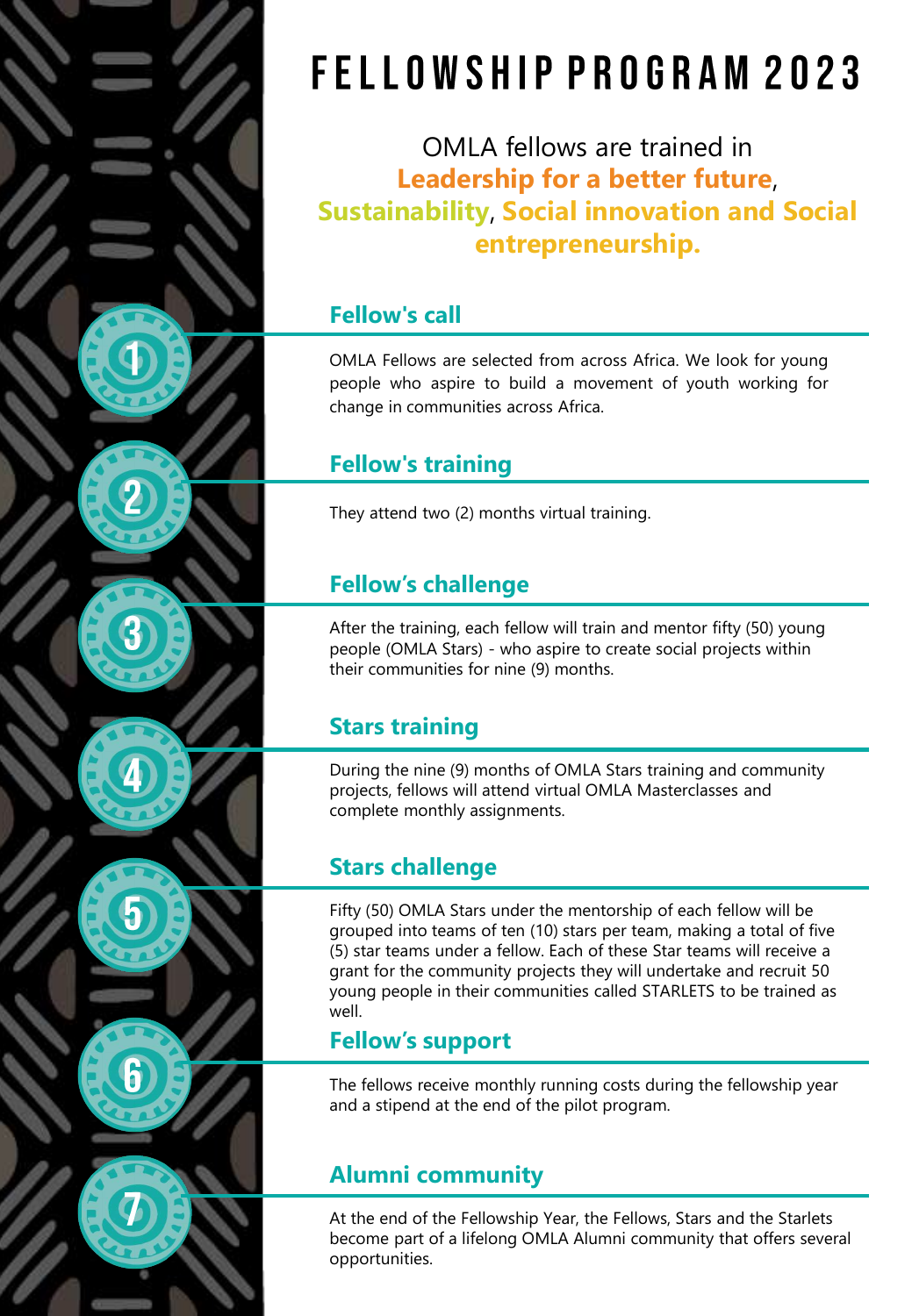## FELLOWSHIP PROGRAM 2023

OMLA fellows are trained in **Leadership for a better future**, **Sustainability**, **Social innovation and Social entrepreneurship.**

#### **Fellow's call**

OMLA Fellows are selected from across Africa. We look for young people who aspire to build a movement of youth working for change in communities across Africa.

### **Fellow's training**

They attend two (2) months virtual training.

### **Fellow's challenge**

After the training, each fellow will train and mentor fifty (50) young people (OMLA Stars) - who aspire to create social projects within their communities for nine (9) months.

### **Stars training**

During the nine (9) months of OMLA Stars training and community projects, fellows will attend virtual OMLA Masterclasses and complete monthly assignments.

### **Stars challenge**

Fifty (50) OMLA Stars under the mentorship of each fellow will be grouped into teams of ten (10) stars per team, making a total of five (5) star teams under a fellow. Each of these Star teams will receive a grant for the community projects they will undertake and recruit 50 young people in their communities called STARLETS to be trained as well.

### **Fellow's support**

The fellows receive monthly running costs during the fellowship year and a stipend at the end of the pilot program.

### **Alumni community**

At the end of the Fellowship Year, the Fellows, Stars and the Starlets become part of a lifelong OMLA Alumni community that offers several opportunities.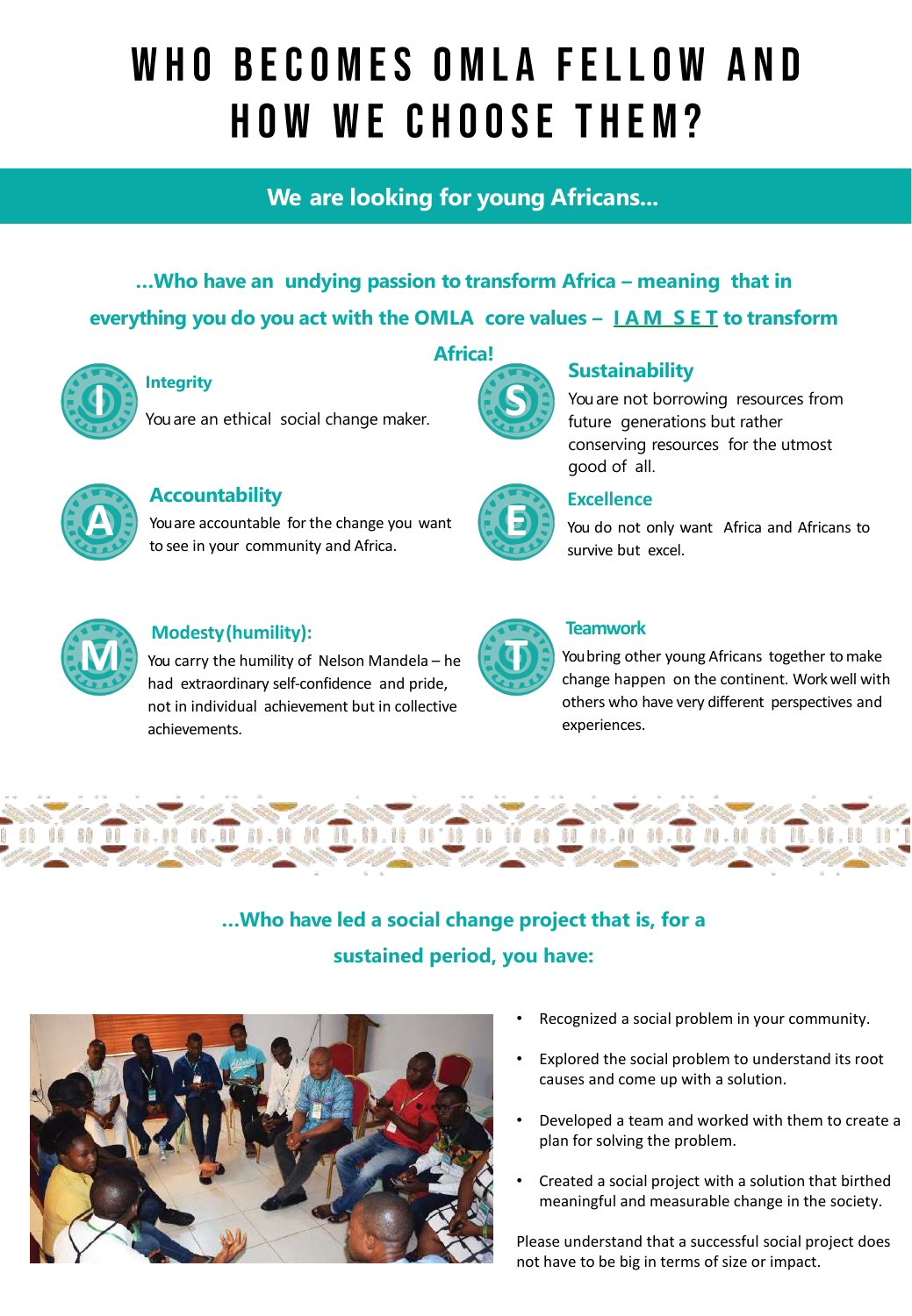## WHO BECOMES OMLA FELLOW AND **HOW WE CHOOSE THEM?**

### **We are looking for young Africans...**

... Who have an undying passion to transform Africa - meaning that in **everything you do you act with the OMLA core values – I A M S E T to transform** 



#### **Integrity**

You are an ethical social change maker. **I**



#### **Accountability**

You are accountable for the change you want to see in your community and Africa.



#### **Sustainability**

You are not borrowing resources from future generations but rather conserving resources for the utmost good of all.



#### **Excellence**

You do not only want Africa and Africans to survive but excel.



#### **Modesty(humility):**

You carry the humility of Nelson Mandela – he had extraordinary self-confidence and pride, not in individual achievement but in collective achievements.



#### **Teamwork**

You bring other young Africans together to make change happen on the continent. Work well with others who have very different perspectives and experiences.



### **…Who have led a social change project that is, for a sustained period, you have:**



- Recognized a social problem in your community.
- Explored the social problem to understand its root causes and come up with a solution.
- Developed a team and worked with them to create a plan for solving the problem.
- Created a social project with a solution that birthed meaningful and measurable change in the society.

Please understand that a successful social project does not have to be big in terms of size or impact.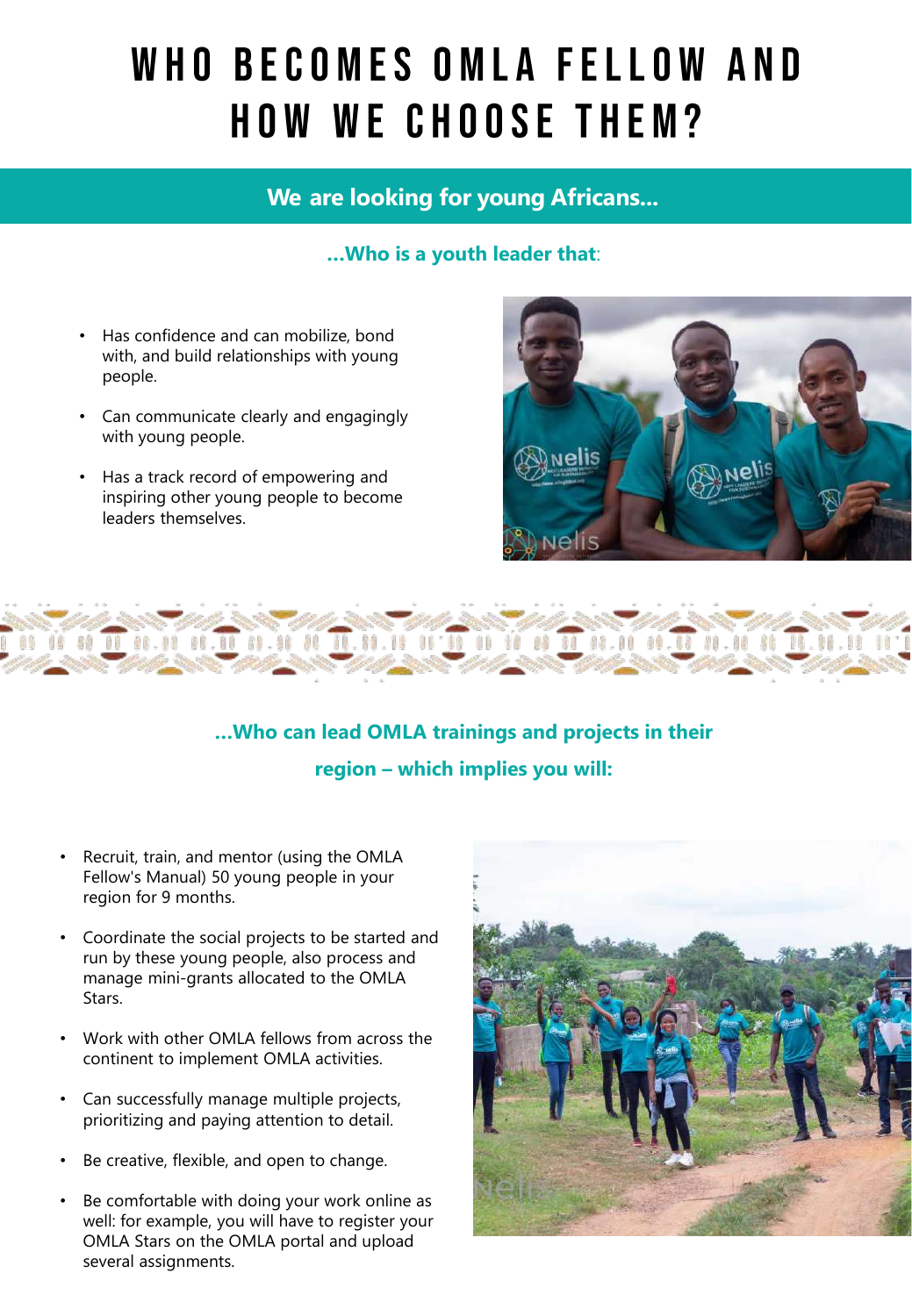## WHO BECOMES OMLA FELLOW AND **HOW WE CHOOSE THEM?**

#### **We are looking for young Africans...**

#### **…Who is a youth leader that**:

- Has confidence and can mobilize, bond with, and build relationships with young people.
- Can communicate clearly and engagingly with young people.
- Has a track record of empowering and inspiring other young people to become leaders themselves.





### **…Who can lead OMLA trainings and projects in their region – which implies you will:**

- Recruit, train, and mentor (using the OMLA Fellow's Manual) 50 young people in your region for 9 months.
- Coordinate the social projects to be started and run by these young people, also process and manage mini-grants allocated to the OMLA Stars.
- Work with other OMLA fellows from across the continent to implement OMLA activities.
- Can successfully manage multiple projects, prioritizing and paying attention to detail.
- Be creative, flexible, and open to change.
- Be comfortable with doing your work online as well: for example, you will have to register your OMLA Stars on the OMLA portal and upload several assignments.

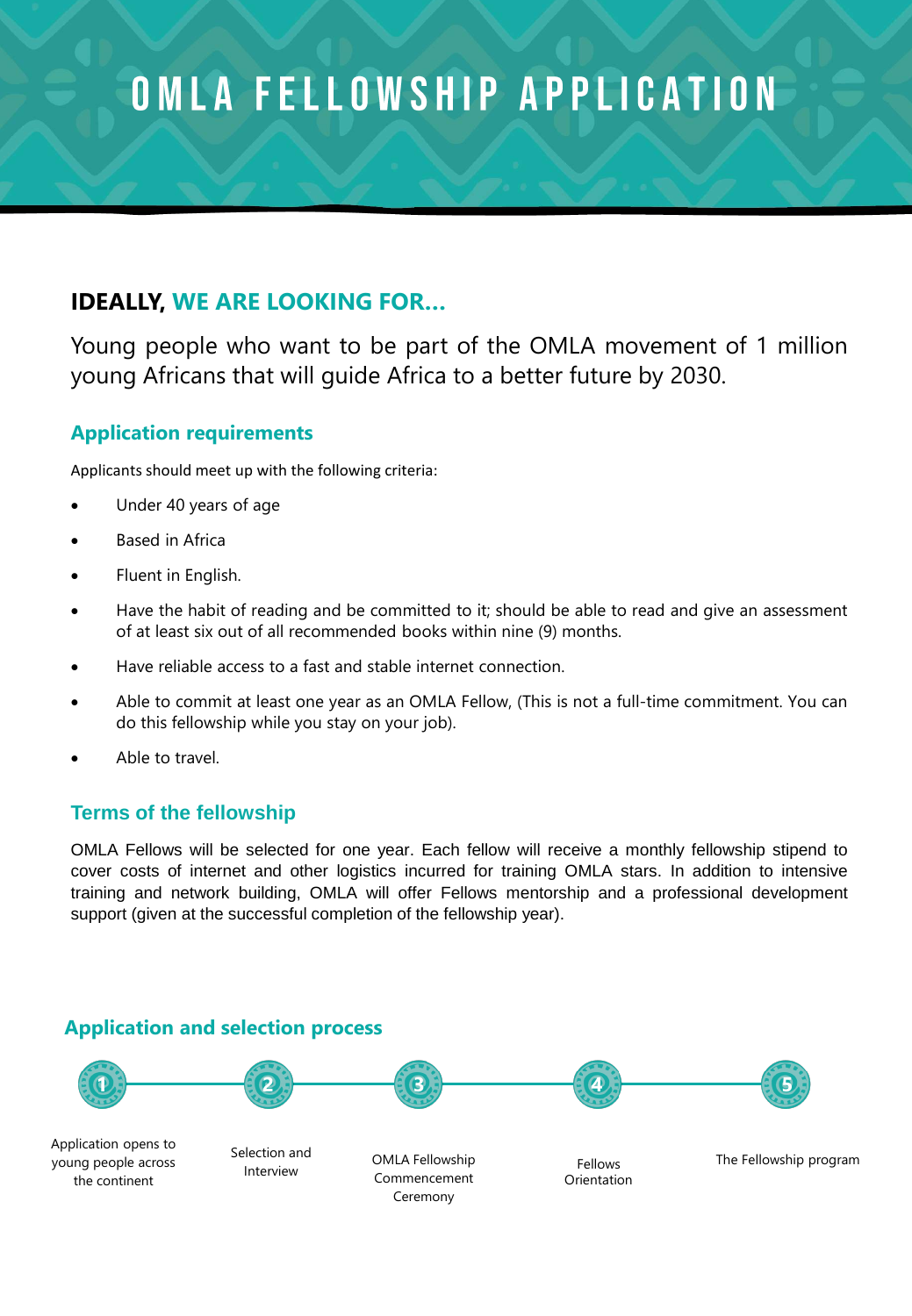## OMLA FELLOWSHIP APPLICATION

### **IDEALLY, WE ARE LOOKING FOR…**

Young people who want to be part of the OMLA movement of 1 million young Africans that will guide Africa to a better future by 2030.

#### **Application requirements**

Applicants should meet up with the following criteria:

- Under 40 years of age
- **Based in Africa**
- Fluent in English.
- Have the habit of reading and be committed to it; should be able to read and give an assessment of at least six out of all recommended books within nine (9) months.
- Have reliable access to a fast and stable internet connection.
- Able to commit at least one year as an OMLA Fellow, (This is not a full-time commitment. You can do this fellowship while you stay on your job).
- Able to travel.

#### **Terms of the fellowship**

OMLA Fellows will be selected for one year. Each fellow will receive a monthly fellowship stipend to cover costs of internet and other logistics incurred for training OMLA stars. In addition to intensive training and network building, OMLA will offer Fellows mentorship and a professional development support (given at the successful completion of the fellowship year).

#### **Application and selection process**



Application opens to young people across the continent

Selection and Interview

OMLA Fellowship Commencement Ceremony

Orientation

Fellows The Fellowship program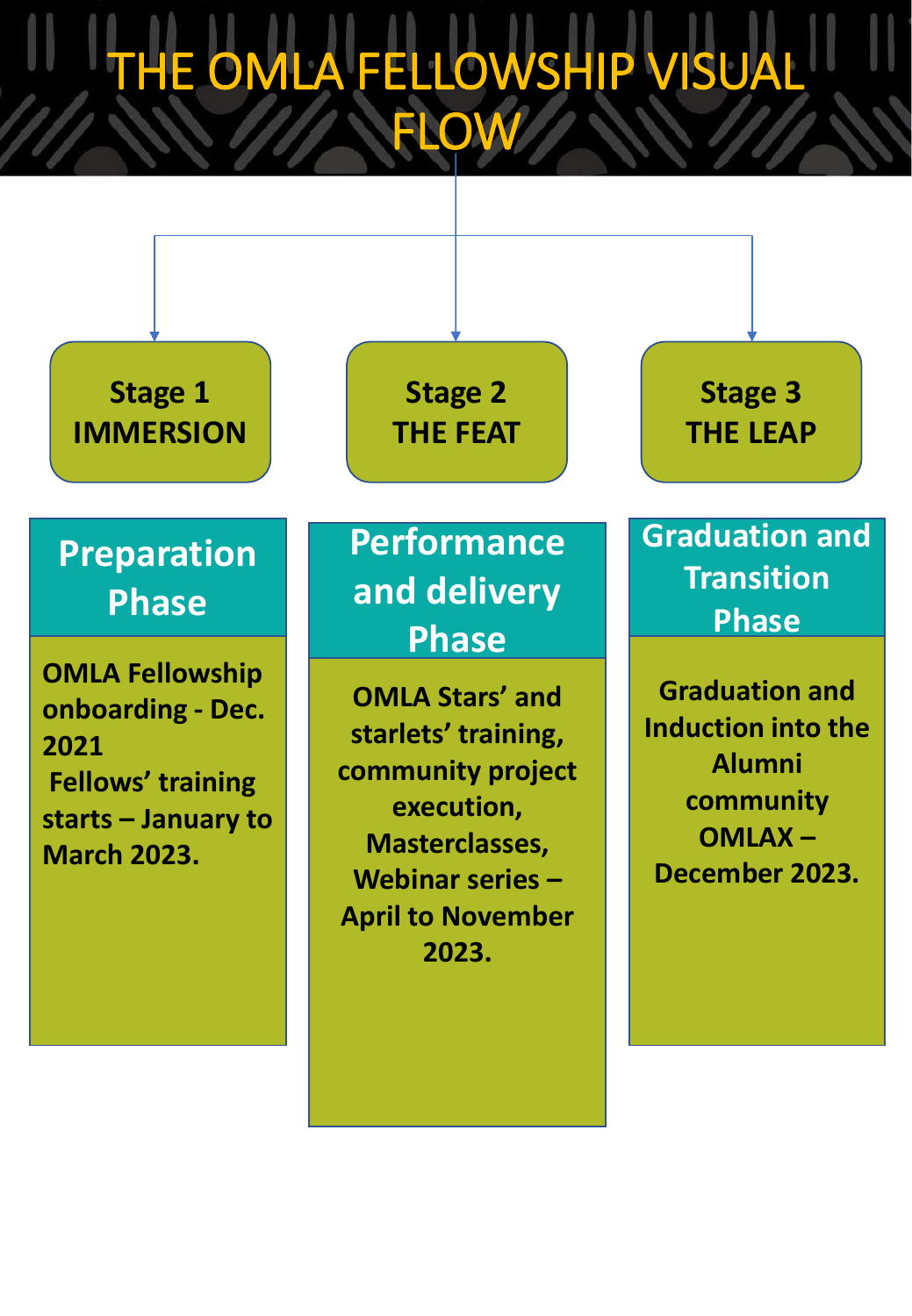## E OMLA FELLOWSHIP VISUA **FLOW**

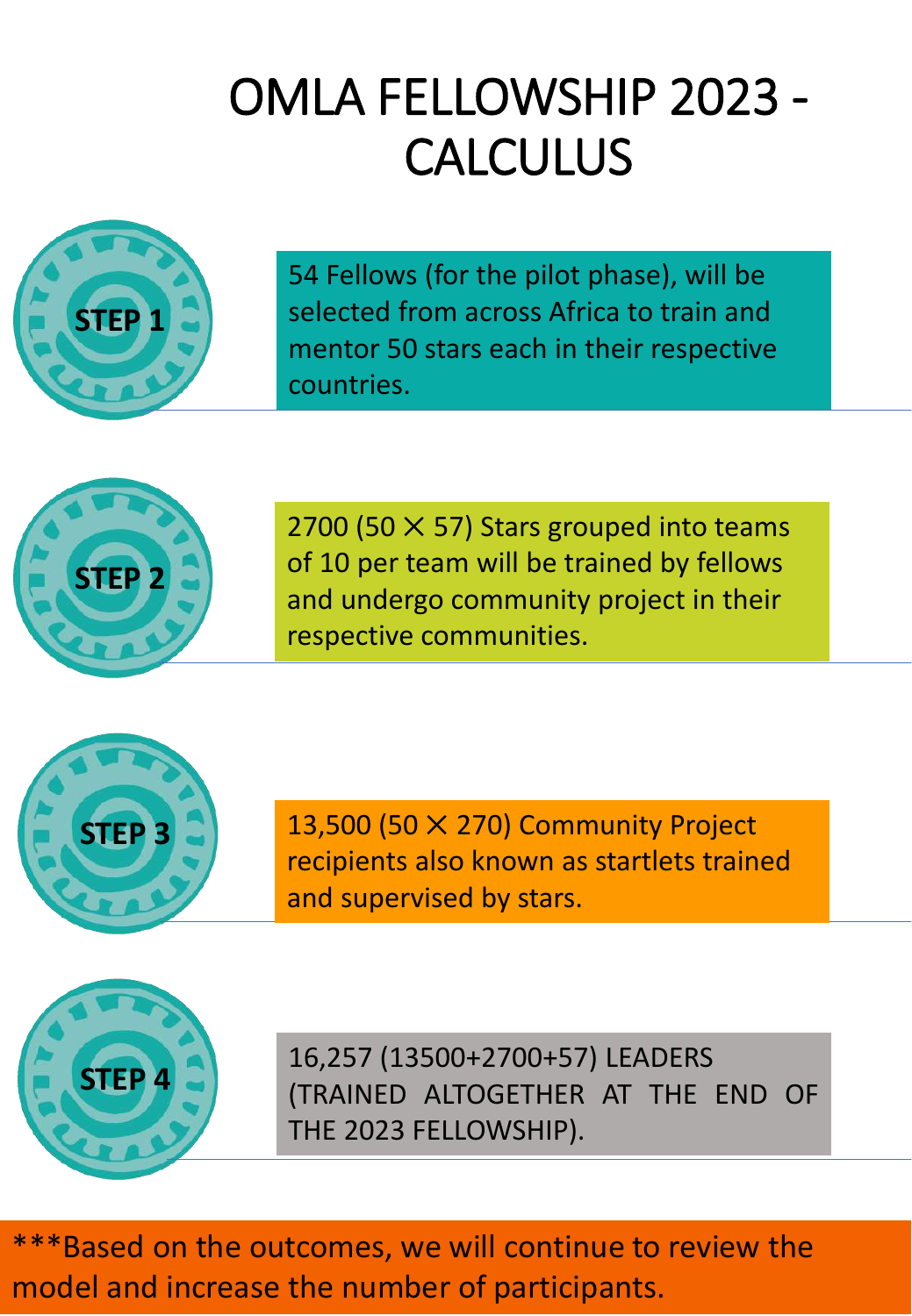## OMLA FELLOWSHIP 2023 - **CALCULUS**



54 Fellows (for the pilot phase), will be selected from across Africa to train and mentor 50 stars each in their respective countries.



2700 (50  $\times$  57) Stars grouped into teams of 10 per team will be trained by fellows and undergo community project in their respective communities.



13,500 (50  $\times$  270) Community Project recipients also known as startlets trained and supervised by stars.



16,257 (13500+2700+57) LEADERS (TRAINED ALTOGETHER AT THE END OF THE 2023 FELLOWSHIP).

\*\*\*Based on the outcomes, we will continue to review the model and increase the number of participants.